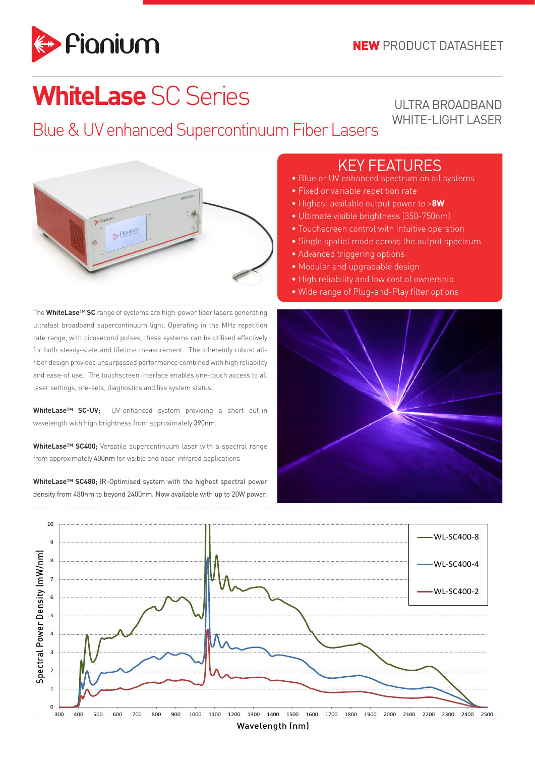

# **WhiteLase** SC Series

### Blue & UV enhanced Supercontinuum Fiber Lasers

#### ULTRA BROADBAND WHITE-LIGHT LASER



The **WhiteLase**™ **SC** range of systems are high-power fiber lasers generating ultrafast broadband supercontinuum light. Operating in the MHz repetition rate range, with picosecond pulses, these systems can be utilised effectively for both steady-state and lifetime measurement. The inherently robust allfiber design provides unsurpassed performance combined with high reliability and ease-of use. The touchscreen interface enables one-touch access to all laser settings, pre-sets, diagnostics and live system status.

**WhiteLase™ SC-UV;** UV-enhanced system providing a short cut-in wavelength with high brightness from approximately 390nm.

**WhiteLase™ SC400;** Versatile supercontinuum laser with a spectral range from approximately 400nm for visible and near-infrared applications

**WhiteLase™ SC480;** IR-Optimised system with the highest spectral power density from 480nm to beyond 2400nm. Now available with up to 20W power.

#### KEY FEATURES

- Blue or UV enhanced spectrum on all systems
- Fixed or variable repetition rate
- Highest available output power to >**8W**
- Ultimate visible brightness (350-750nm)
- Touchscreen control with intuitive operation
- Single spatial mode across the output spectrum
- Advanced triggering options
- Modular and upgradable design
- High reliability and low cost of ownership
- Wide range of Plug-and-Play filter options